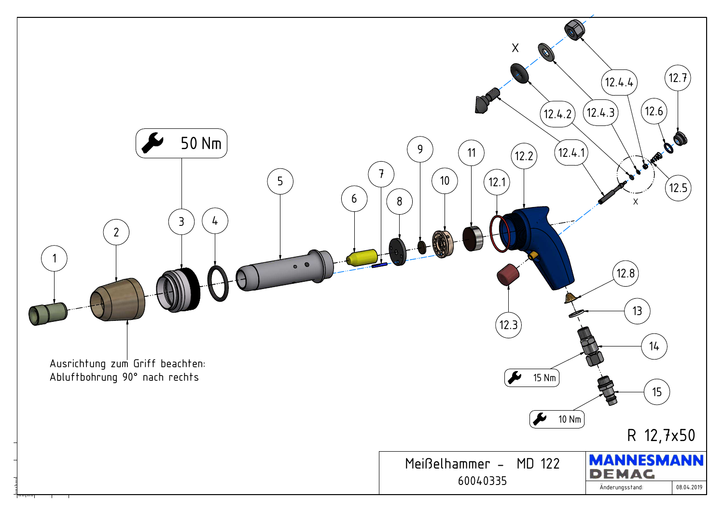